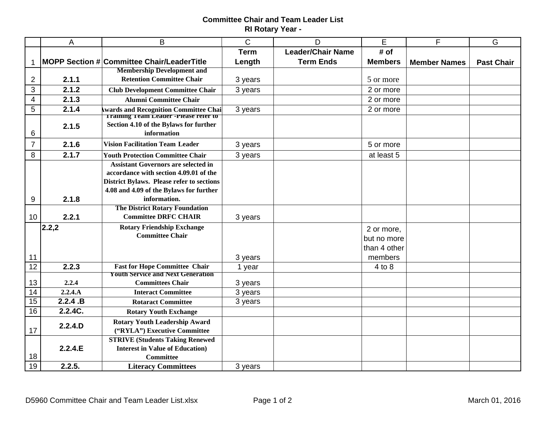## **Committee Chair and Team Leader List RI Rotary Year -**

|                 | $\mathsf{A}$                               | B                                                                                      | $\mathsf C$ | D                        | E              | F                   | G                 |
|-----------------|--------------------------------------------|----------------------------------------------------------------------------------------|-------------|--------------------------|----------------|---------------------|-------------------|
|                 |                                            |                                                                                        | <b>Term</b> | <b>Leader/Chair Name</b> | # of           |                     |                   |
| 1               | MOPP Section # Committee Chair/LeaderTitle |                                                                                        | Length      | <b>Term Ends</b>         | <b>Members</b> | <b>Member Names</b> | <b>Past Chair</b> |
|                 |                                            | <b>Membership Development and</b>                                                      |             |                          |                |                     |                   |
| $\overline{2}$  | 2.1.1                                      | <b>Retention Committee Chair</b>                                                       | 3 years     |                          | 5 or more      |                     |                   |
| 3               | 2.1.2                                      | <b>Club Development Committee Chair</b>                                                | 3 years     |                          | 2 or more      |                     |                   |
| $\overline{4}$  | 2.1.3                                      | <b>Alumni Committee Chair</b>                                                          |             |                          | 2 or more      |                     |                   |
| $\overline{5}$  | 2.1.4                                      | <b>Awards and Recognition Committee Chai</b>                                           | 3 years     |                          | 2 or more      |                     |                   |
|                 |                                            | <b>Training Team Leader -Please refer to</b><br>Section 4.10 of the Bylaws for further |             |                          |                |                     |                   |
| 6               | 2.1.5                                      | information                                                                            |             |                          |                |                     |                   |
|                 |                                            |                                                                                        |             |                          |                |                     |                   |
| $\overline{7}$  | 2.1.6                                      | <b>Vision Facilitation Team Leader</b>                                                 | 3 years     |                          | 5 or more      |                     |                   |
| 8               | 2.1.7                                      | <b>Youth Protection Committee Chair</b>                                                | 3 years     |                          | at least 5     |                     |                   |
|                 |                                            | <b>Assistant Governors are selected in</b>                                             |             |                          |                |                     |                   |
|                 |                                            | accordance with section 4.09.01 of the                                                 |             |                          |                |                     |                   |
|                 |                                            | <b>District Bylaws. Please refer to sections</b>                                       |             |                          |                |                     |                   |
|                 |                                            | 4.08 and 4.09 of the Bylaws for further                                                |             |                          |                |                     |                   |
| 9               | 2.1.8                                      | information.                                                                           |             |                          |                |                     |                   |
|                 |                                            | <b>The District Rotary Foundation</b>                                                  |             |                          |                |                     |                   |
| 10              | 2.2.1                                      | <b>Committee DRFC CHAIR</b>                                                            | 3 years     |                          |                |                     |                   |
|                 | 2.2,2                                      | <b>Rotary Friendship Exchange</b>                                                      |             |                          | 2 or more,     |                     |                   |
|                 |                                            | <b>Committee Chair</b>                                                                 |             |                          | but no more    |                     |                   |
|                 |                                            |                                                                                        |             |                          | than 4 other   |                     |                   |
| 11              |                                            |                                                                                        | 3 years     |                          | members        |                     |                   |
| 12              | 2.2.3                                      | <b>Fast for Hope Committee Chair</b>                                                   | 1 year      |                          | 4 to 8         |                     |                   |
|                 |                                            | <b>Youth Service and Next Generation</b>                                               |             |                          |                |                     |                   |
| 13              | 2.2.4                                      | <b>Committees Chair</b>                                                                | 3 years     |                          |                |                     |                   |
| 14              | 2.2.4.A                                    | <b>Interact Committee</b>                                                              | 3 years     |                          |                |                     |                   |
| 15              | 2.2.4.B                                    | <b>Rotaract Committee</b>                                                              | 3 years     |                          |                |                     |                   |
| $\overline{16}$ | 2.2.4C.                                    | <b>Rotary Youth Exchange</b>                                                           |             |                          |                |                     |                   |
|                 | 2.2.4.D                                    | <b>Rotary Youth Leadership Award</b>                                                   |             |                          |                |                     |                   |
| 17              |                                            | ("RYLA") Executive Committee                                                           |             |                          |                |                     |                   |
|                 |                                            | <b>STRIVE (Students Taking Renewed)</b>                                                |             |                          |                |                     |                   |
|                 | 2.2.4.E                                    | <b>Interest in Value of Education</b> )                                                |             |                          |                |                     |                   |
| 18              |                                            | <b>Committee</b>                                                                       |             |                          |                |                     |                   |
| $\overline{19}$ | 2.2.5.                                     | <b>Literacy Committees</b>                                                             | 3 years     |                          |                |                     |                   |